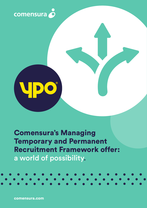



### Comensura's Managing Temporary and Permanent Recruitment Framework offer: a world of possibility.

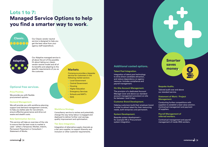### **Additional costed options.**

### **Talent Pool Integration.**

Integration of talent pool technology to drive direct candidate attraction, and reduce dependency on agency resource. Includes compliance and payroll management.

### **On-Site Account Management.**

The provision of a dedicated Account Manager (over and above our standard account management provision) on-site for between 1 and 5 days.

### **Customer Brand Development.**

Helping customers build their employer brand in order to attract talent for their resourcing needs, both temporary and permanent.

### **System Development.**

Bespoke system development – for example HR or Procurement system integration.



### **Bespoke Audits.**

Tailored audit over and above our standard service.

#### **Statement of Work / Project Management.**

Conducting further competitions with suppliers to establish a best value solution. Contractual management and payment of suppliers.

We will provide you with workforce planning support and demand management controls, to help you better plan for recruitment, ensure effective governance and drive out waste and stealth costs.

### **Payroll Management of referred workers.**

Contractual management and payroll management of inside-IR35 workers.

### Lots 1 to 7: Managed Service Options to help you find a smarter way to work.

# **Classic.**



Our Classic vendor neutral service is designed to help you get the best value from your agency staff expenditure.

> Integration of alternative supply channels as a tier zero supplier, to support diversity and inclusion or other customer requirements.

Our Adaptive managed service is all about the art of the possible. It's about taking our classic vendor neutral model and all of its benefits and adapting to the specific requirements of you as the customer.



### **Optional free services.**

### **Price Promise.**

We provide you with flexible procurement options.

### **Demand Management.**

### **Role Optimisation Service.**

This service will take an overview of the role to ensure that the best route to market is used – either a Temporary Worker, Interim, Permanent Placement or Consultant / Statement of Works.

### **Markets.**

Comensura provides a bespoke service for customers in the following market sectors:

- Local Government
- Central Government
- Housing
- Higher Education
- Emergency Services
- Schools and MAT's
- NHS

### **Workforce Strategy.**

Consultancy service to review and potentially change the way temp labour is engaged and deployed to deliver further cost savings, quality improvement and optimisation.

### **Tier Zero Integration.**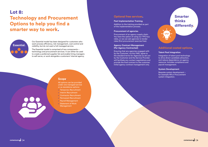### Lot 8:

## Technology and Procurement Options to help you find a smarter way to work.



Our Essential model has been designed for customers who want process efficiency, risk management, cost control and visibility, but do not want a full managed service.

The Essential model is comprised of two components – technology and procurement services. It can either be used to create a preferred supplier list and enable hiring managers to self-serve, or work alongside a customers' internal agency.

### **Optional free services.**

#### **Post Implementation Training.**

Addition to the training provided as part of the implementation process.

#### **Procurement of agencies.**

Procurement of an agency supply chain. You have the option of using our YPO buy rates, or we can ask agencies to tender rates (first procurement exercise free).

### **Agency Contract Management (Per Agency Contracted).**

Ensuring that any agencies engaged with by the Customer, via the VMS, agree to the standard terms for Agencies as set out by the Customer and the Service Provider will facilitate any contact negotiations and provide the final contract to the customer. Initial agency contract management only.

### **Scope.**

All options can be provided under one managed service or as standalone options:

- Temporary Recruitment
- Interim Recruitment
- Contractor Recruitment
- Permanent Recruitment
- Payroll Management
- Statement of Work Management

### Smarter thinks differently.



### **Talent Pool Integration.**

Integration of talent pool technology to drive direct candidate attraction, and reduce dependency on agency resource. Includes compliance and payroll management.

#### **System Development.**

Bespoke system development – for example HR or Procurement system integration.

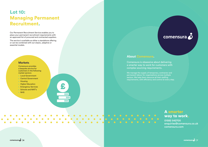### Lot 10: Managing Permanent Recruitment.

Our Permanent Recruitment Service enables you to place your permanent recruitment requirements with an approved list of procured and contracted suppliers.

The service is available as either a standalone offering or can be combined with out classic, adaptive or essential models.

### **Markets.**

Comensura provides a bespoke service for customers in the following market sectors:

We manage the supply of temporary, contractor and permanent labour for organisations across multiple sectors. We help them resource all their staffing requirements, with efficiency and control at every step.

- Local Government
- Central Government
- Housing
- Higher Education
- Emergency Services
- Schools and MAT's
- NHS

 $\bullet$ 

 $\bigcirc$ 

 $\overline{\mathbf{m}}$  $\overline{\mathbf{III}}$  $\overline{\mathbf{m}}$ 

£

### comensura O

### A smarter way to work.

01582 542700 enquiries@comensura.co.uk comensura.com

 $\vert$  6  $\vert$  7  $\vert$  7  $\vert$  7  $\vert$  7  $\vert$  7  $\vert$  7  $\vert$  7  $\vert$  7  $\vert$  7  $\vert$  7  $\vert$  7  $\vert$  7  $\vert$  7  $\vert$  7  $\vert$  7  $\vert$  7  $\vert$  7  $\vert$  7  $\vert$  7  $\vert$  7  $\vert$  7  $\vert$  7  $\vert$  7  $\vert$  7  $\vert$  7  $\vert$  7  $\vert$  7  $\vert$  7  $\vert$  7  $\vert$  7  $\vert$ 

### **About Comensura.**

Comensura is obsessive about delivering a smarter way to work for customers with complex sourcing requirements.